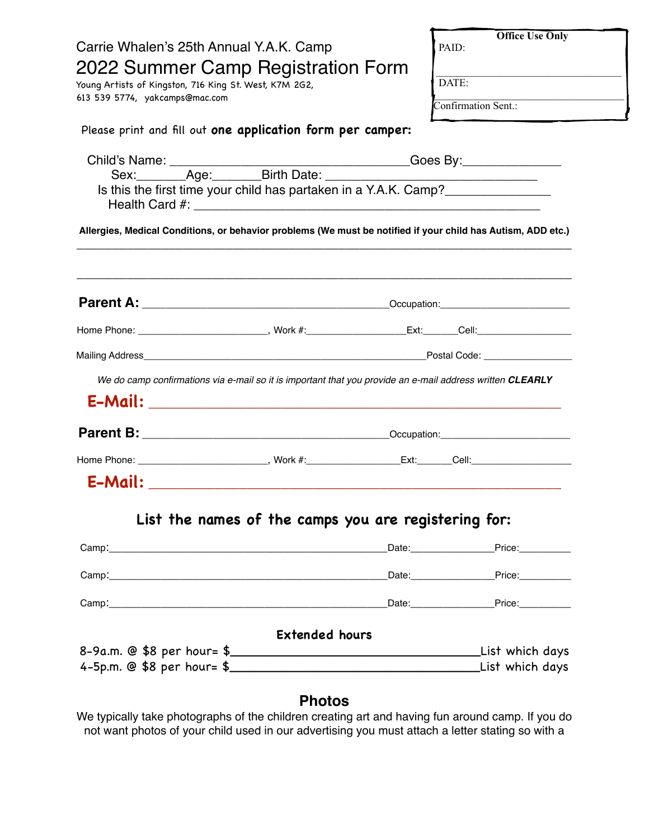|                                                                                                                                                                                                                                                                                                           | <b>Office Use Only</b>                                                                                                        |
|-----------------------------------------------------------------------------------------------------------------------------------------------------------------------------------------------------------------------------------------------------------------------------------------------------------|-------------------------------------------------------------------------------------------------------------------------------|
| Carrie Whalen's 25th Annual Y.A.K. Camp                                                                                                                                                                                                                                                                   | PAID:                                                                                                                         |
| 2022 Summer Camp Registration Form                                                                                                                                                                                                                                                                        | <u> 1989 - Andrea Andrew Maria Maria Maria Maria Maria Maria Maria Maria Maria Maria Maria Maria Maria Maria Ma</u>           |
| Young Artists of Kingston, 716 King St. West, K7M 2G2,<br>613 539 5774, yakcamps@mac.com                                                                                                                                                                                                                  | DATE:<br><u> 1989 - Johann John Stone, mars and de British and de British and de British and de British and de British an</u> |
|                                                                                                                                                                                                                                                                                                           | Confirmation Sent.:                                                                                                           |
| Please print and fill out one application form per camper:                                                                                                                                                                                                                                                |                                                                                                                               |
|                                                                                                                                                                                                                                                                                                           |                                                                                                                               |
|                                                                                                                                                                                                                                                                                                           |                                                                                                                               |
| Is this the first time your child has partaken in a Y.A.K. Camp?<br>Health Card #: <u>Alexandre Barbara and Barbara and Barbara and Barbara and Barbara and Barbara and Barbara and B</u><br>Allergies, Medical Conditions, or behavior problems (We must be notified if your child has Autism, ADD etc.) |                                                                                                                               |
|                                                                                                                                                                                                                                                                                                           |                                                                                                                               |
|                                                                                                                                                                                                                                                                                                           |                                                                                                                               |
| Home Phone: ___________________________, Work #:_____________________Ext:______Cell:_____________________                                                                                                                                                                                                 |                                                                                                                               |
|                                                                                                                                                                                                                                                                                                           |                                                                                                                               |
| We do camp confirmations via e-mail so it is important that you provide an e-mail address written CLEARLY                                                                                                                                                                                                 |                                                                                                                               |
|                                                                                                                                                                                                                                                                                                           |                                                                                                                               |
|                                                                                                                                                                                                                                                                                                           |                                                                                                                               |
|                                                                                                                                                                                                                                                                                                           |                                                                                                                               |
|                                                                                                                                                                                                                                                                                                           |                                                                                                                               |
| List the names of the camps you are registering for:                                                                                                                                                                                                                                                      |                                                                                                                               |
|                                                                                                                                                                                                                                                                                                           | _Date:__________________Price:___________                                                                                     |
|                                                                                                                                                                                                                                                                                                           |                                                                                                                               |
|                                                                                                                                                                                                                                                                                                           |                                                                                                                               |
|                                                                                                                                                                                                                                                                                                           |                                                                                                                               |
| <b>Extended hours</b>                                                                                                                                                                                                                                                                                     |                                                                                                                               |
|                                                                                                                                                                                                                                                                                                           | List which days_                                                                                                              |
|                                                                                                                                                                                                                                                                                                           |                                                                                                                               |
|                                                                                                                                                                                                                                                                                                           |                                                                                                                               |

## **Photos**

We typically take photographs of the children creating art and having fun around camp. If you do not want photos of your child used in our advertising you must attach a letter stating so with a